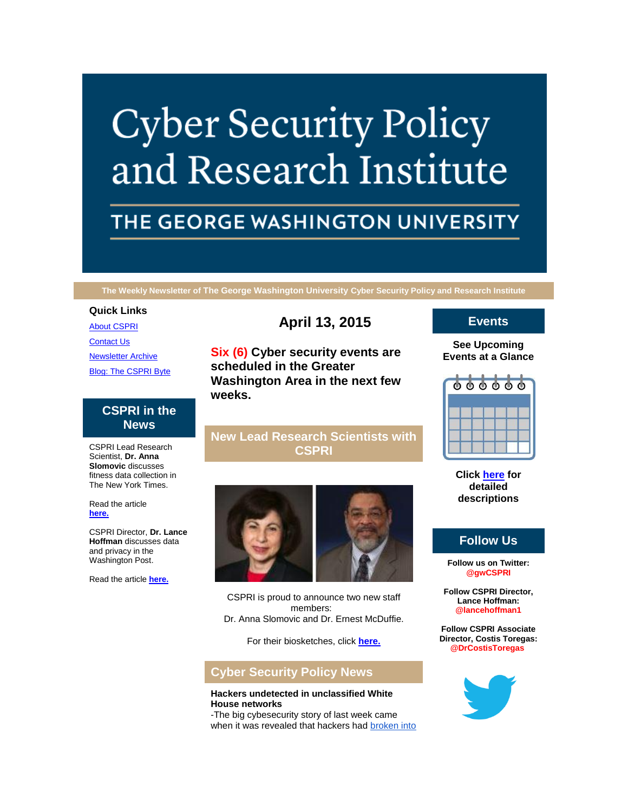# **Cyber Security Policy** and Research Institute

# THE GEORGE WASHINGTON UNIVERSITY

**The Weekly Newsletter of The George Washington University Cyber Security Policy and Research Institute**

#### **Quick Links**

[About CSPRI](http://r20.rs6.net/tn.jsp?f=001QLuTVpPOEID7iUH1NM7x247JrwCWJTTgPMPq4JC2zyJx9UyUsNtLIEjeZLHcJ7y7D0_UxGnMrdq0tyjkMLk1OxHBaicUiGALBKGKL-ePeaXkaWLuMuiMwqgCNKaGktomX9t1Dfh56j1uDENYEXeaVkxFCG-TT-nOIt5ZrdNf88GG2qs8EdDFaCVx801KHP4U&c=UaqmzmxJdwrfY1fNdOcliBio3p7qvqY0ytBHSKVhftGnzdwR5_dI_Q==&ch=nDXpvo4c2P1zpm-gh8mJbjWkbEXT2qkBRAQe2Cf73ylv595bkTVwew==) [Contact Us](http://r20.rs6.net/tn.jsp?f=001QLuTVpPOEID7iUH1NM7x247JrwCWJTTgPMPq4JC2zyJx9UyUsNtLIEjeZLHcJ7y7um-HXq06bkL1DHwPT0G9cGYXAu758oTjKbTixMZWJ-g1uA6MOAxpXfKYyUBhXU53ulQysN_eUw4oEo3VFTxqXQAFmDbWtiWtzcFVPfBZ2fpt8c1Qi9tyeqUwnrYwkxtxOpTlUFHlkb8=&c=UaqmzmxJdwrfY1fNdOcliBio3p7qvqY0ytBHSKVhftGnzdwR5_dI_Q==&ch=nDXpvo4c2P1zpm-gh8mJbjWkbEXT2qkBRAQe2Cf73ylv595bkTVwew==) **[Newsletter Archive](http://r20.rs6.net/tn.jsp?f=001QLuTVpPOEID7iUH1NM7x247JrwCWJTTgPMPq4JC2zyJx9UyUsNtLIEjeZLHcJ7y7YQ36c2VgDqN3nECVDZSvSACDeMw8_YXU1SR0xf_ednR-etKG22ZwHWim_mp2doF4t-KBUBrM56Bm8b9ZgRFpinRYXVkEZZLpCg4hsiBEooI5lqX2x4XSZ0GUnZhSYS9EJpot1IEdapg=&c=UaqmzmxJdwrfY1fNdOcliBio3p7qvqY0ytBHSKVhftGnzdwR5_dI_Q==&ch=nDXpvo4c2P1zpm-gh8mJbjWkbEXT2qkBRAQe2Cf73ylv595bkTVwew==)** [Blog: The CSPRI Byte](http://r20.rs6.net/tn.jsp?f=001QLuTVpPOEID7iUH1NM7x247JrwCWJTTgPMPq4JC2zyJx9UyUsNtLIEjeZLHcJ7y7ScQfssvoQEe0ULtG7ypO8XwOK_Y5HSG4Y35D2RcAM_tRNPNPLHRqJL672lMG8UL3hyXRGaJT8OQEwYrR5KdPHXtUUVK9Om9c9kbHE9rx6lgDN9vPIq_pcJ2GyPuYCuRN&c=UaqmzmxJdwrfY1fNdOcliBio3p7qvqY0ytBHSKVhftGnzdwR5_dI_Q==&ch=nDXpvo4c2P1zpm-gh8mJbjWkbEXT2qkBRAQe2Cf73ylv595bkTVwew==)

# **CSPRI in the News**

CSPRI Lead Research Scientist, **Dr. Anna Slomovic** discusses fitness data collection in The New York Times.

Read the article **[here.](http://r20.rs6.net/tn.jsp?f=001QLuTVpPOEID7iUH1NM7x247JrwCWJTTgPMPq4JC2zyJx9UyUsNtLIEP0coNm3m_gTVt_ECw-OL2_1Zl8-udi32dTIb18O-GBuZGQqVjmkbBstgwSNgvUafDDFYkY0yXGL4ZRyg8Ov10nFDyC7ByWVQ3ESTo0aKq46L2l8pcsntmOivjGexpTYjxVZzNpwi5I_7_wTHFxEQg0zvoFQPykDbe5O035x_7ltMTCGJtup7PPe_pTt6Nc4cGQz4k3-I0D4nHUmUqRFTfgfiY2yxD_DIDkDVgVYBoRfWlktY9pZd0=&c=UaqmzmxJdwrfY1fNdOcliBio3p7qvqY0ytBHSKVhftGnzdwR5_dI_Q==&ch=nDXpvo4c2P1zpm-gh8mJbjWkbEXT2qkBRAQe2Cf73ylv595bkTVwew==)**

CSPRI Director, **Dr. Lance Hoffman** discusses data and privacy in the Washington Post.

Read the article **[here.](http://r20.rs6.net/tn.jsp?f=001QLuTVpPOEID7iUH1NM7x247JrwCWJTTgPMPq4JC2zyJx9UyUsNtLIEP0coNm3m_gvv_OSMW1uybrhSuLWWrHElSmKSxXNKtiwkt7H8O2jzIJrR1Y1d6484SeqReHzw0CeArEXxbjbSEiDSOfVY-yQOMsDhzBv0KzPBCyROr--v_mu4ssFnBy9yzKv_4lS3x1xK4siuy9VPxDlZONzpnAUgh1zqOb6gXCSG8KxyDy2JG8Wy58KGjWNWhgfgYkKypfefqM-md-U_B3o3Y_OLC_Lbwurf-AfHC7RcUt3yc--S2e8CUe0pa9gdWRTQRN-LKN_8dJUmvLB2OJbiTvHu5WUY8fyu4aLyVKcRc60acOMaCywEzg9YayDcRCW015R32JiPfHRu2ZurIecw7xY9GXWw==&c=UaqmzmxJdwrfY1fNdOcliBio3p7qvqY0ytBHSKVhftGnzdwR5_dI_Q==&ch=nDXpvo4c2P1zpm-gh8mJbjWkbEXT2qkBRAQe2Cf73ylv595bkTVwew==)**

# **April 13, 2015**

**Six (6) Cyber security events are scheduled in the Greater Washington Area in the next few weeks.**

## **New Lead Research Scientists with CSPRI**



CSPRI is proud to announce two new staff members: Dr. Anna Slomovic and Dr. Ernest McDuffie.

For their biosketches, click **[here.](http://r20.rs6.net/tn.jsp?f=001QLuTVpPOEID7iUH1NM7x247JrwCWJTTgPMPq4JC2zyJx9UyUsNtLIEP0coNm3m_gSBG7okfhypDba3cv7ARmwEVX-2H_lPpVERX4RAWKbOZHmLhVwfXebPN4XJPFkkNN_-AwpS2za3oXvanRBEfreaJo4SLf2PCC76hJfGgEvE_uJYs_B-v3aLBpDQJ_S4zXRMlZqpmi_3NyF_YfC65OMQ==&c=UaqmzmxJdwrfY1fNdOcliBio3p7qvqY0ytBHSKVhftGnzdwR5_dI_Q==&ch=nDXpvo4c2P1zpm-gh8mJbjWkbEXT2qkBRAQe2Cf73ylv595bkTVwew==)**

# **Cyber Security Policy News**

#### **Hackers undetected in unclassified White House networks**

-The big cybesecurity story of last week came when it was revealed that hackers had broken into

# **Events**

### **See Upcoming Events at a Glance**



**Click [here](http://r20.rs6.net/tn.jsp?f=001QLuTVpPOEID7iUH1NM7x247JrwCWJTTgPMPq4JC2zyJx9UyUsNtLIEjeZLHcJ7y7U2wMQM339dVnsxMgtC90l6qHpBALNDz-BM1y-VRH7fCgo2z2cm7UEF6EnO226NgTQLNZVU0YMU7TFDhIeiG7PCBvZnb43q2dUjb2F4oEdjHkM_8pPh9OR97QIz_RO1jTjDzFmiWKrsKwI6Ppm5kTyw==&c=UaqmzmxJdwrfY1fNdOcliBio3p7qvqY0ytBHSKVhftGnzdwR5_dI_Q==&ch=nDXpvo4c2P1zpm-gh8mJbjWkbEXT2qkBRAQe2Cf73ylv595bkTVwew==) for detailed descriptions**

# **Follow Us**

**Follow us on Twitter: @gwCSPRI**

**Follow CSPRI Director, Lance Hoffman: @lancehoffman1**

**Follow CSPRI Associate Director, Costis Toregas: @DrCostisToregas**

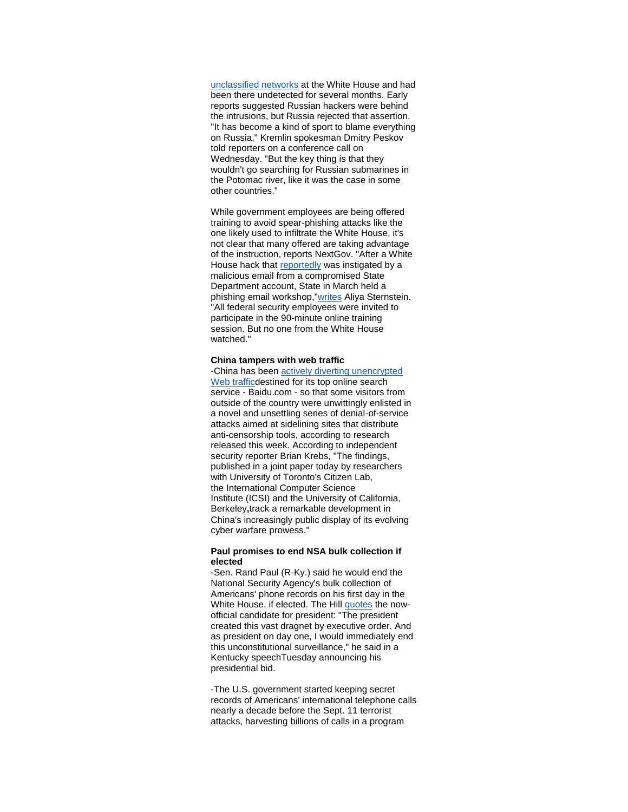unclassified networks at the White House and had been there undetected for several months. Early reports suggested Russian hackers were behind the intrusions, but Russia rejected that assertion. "It has become a kind of sport to blame everything on Russia," Kremlin spokesman Dmitry Peskov told reporters on a conference call on Wednesday. "But the key thing is that they wouldn't go searching for Russian submarines in the Potomac river, like it was the case in some other countries."

While government employees are being offered training to avoid spear-phishing attacks like the one likely used to infiltrate the White House, it's not clear that many offered are taking advantage of the instruction, reports NextGov. "After a White House hack that [reportedly](http://r20.rs6.net/tn.jsp?f=001QLuTVpPOEID7iUH1NM7x247JrwCWJTTgPMPq4JC2zyJx9UyUsNtLIEP0coNm3m_g18dylSz54_zOYpGIXV68Ye6LUko4wz0q7QqGD7j7GcpJBW9csOPHSZUSSblAEEc9aaKvhmBQHFIF_y5acoX1IPhjQFl41ieNPbh50bHB-mCyTi8hpGzmztVM1seA4-EXNkes1YaWVB-eflrnW-2ZQ0XeL8Xs1LeqMay8__VHecYrl9lN5xsECg==&c=UaqmzmxJdwrfY1fNdOcliBio3p7qvqY0ytBHSKVhftGnzdwR5_dI_Q==&ch=nDXpvo4c2P1zpm-gh8mJbjWkbEXT2qkBRAQe2Cf73ylv595bkTVwew==) was instigated by a malicious email from a compromised State Department account, State in March held a phishing email workshop,["writes](http://r20.rs6.net/tn.jsp?f=001QLuTVpPOEID7iUH1NM7x247JrwCWJTTgPMPq4JC2zyJx9UyUsNtLIEP0coNm3m_gNY66KqKWF4gIw3XEB7KP2vCqedPRH-1Jnmv6LJYve9CW9d-SUC2l1Bmo_q5EsrhYl_y8gu4XsyOcWUWNlzz8xwqs6E1xMMVUehBa219WDy5Q5q2SbKnlRg6-qcEt1f-Vr7FgE4B6rkJ2vsfeKdcnwqqvwjjv2dBpFnSyz67gxXvSjBYEZGjpcI9_SogbFog9ki0dONPHHydeA52dib2iBDONt6DLSXdFhBaxD7-Ef1jQWGjvSMNNSq-ARSSBb1F685pj1CHmFTU=&c=UaqmzmxJdwrfY1fNdOcliBio3p7qvqY0ytBHSKVhftGnzdwR5_dI_Q==&ch=nDXpvo4c2P1zpm-gh8mJbjWkbEXT2qkBRAQe2Cf73ylv595bkTVwew==) Aliya Sternstein. "All federal security employees were invited to participate in the 90-minute online training session. But no one from the White House watched."

#### **China tampers with web traffic**

-China has been [actively diverting unencrypted](http://r20.rs6.net/tn.jsp?f=001QLuTVpPOEID7iUH1NM7x247JrwCWJTTgPMPq4JC2zyJx9UyUsNtLIEP0coNm3m_g34pxCRgqS3F0AVLRZnpujzJrpfUe1TP7LHK7M31-GBYfWhP1U_8AOiaNuuhjbdfm9rfawVhSgLMuAnIZY_0ha9zNg4m5_GegLC8k87Ys17Stq2sVC23haOZWXH_JKwQ4AV69ui1yUoD_97laMm7C-b7O9c8LDln7nhB9JP51VVOMkf3WyY2jhw==&c=UaqmzmxJdwrfY1fNdOcliBio3p7qvqY0ytBHSKVhftGnzdwR5_dI_Q==&ch=nDXpvo4c2P1zpm-gh8mJbjWkbEXT2qkBRAQe2Cf73ylv595bkTVwew==)  [Web trafficd](http://r20.rs6.net/tn.jsp?f=001QLuTVpPOEID7iUH1NM7x247JrwCWJTTgPMPq4JC2zyJx9UyUsNtLIEP0coNm3m_g34pxCRgqS3F0AVLRZnpujzJrpfUe1TP7LHK7M31-GBYfWhP1U_8AOiaNuuhjbdfm9rfawVhSgLMuAnIZY_0ha9zNg4m5_GegLC8k87Ys17Stq2sVC23haOZWXH_JKwQ4AV69ui1yUoD_97laMm7C-b7O9c8LDln7nhB9JP51VVOMkf3WyY2jhw==&c=UaqmzmxJdwrfY1fNdOcliBio3p7qvqY0ytBHSKVhftGnzdwR5_dI_Q==&ch=nDXpvo4c2P1zpm-gh8mJbjWkbEXT2qkBRAQe2Cf73ylv595bkTVwew==)estined for its top online search service - Baidu.com - so that some visitors from outside of the country were unwittingly enlisted in a novel and unsettling series of denial-of-service attacks aimed at sidelining sites that distribute anti-censorship tools, according to research released this week. According to independent security reporter Brian Krebs, "The findings, published in a joint paper today by researchers with University of Toronto's Citizen Lab, the International Computer Science Institute (ICSI) and the University of California, Berkeley**,**track a remarkable development in China's increasingly public display of its evolving cyber warfare prowess."

#### **Paul promises to end NSA bulk collection if elected**

-Sen. Rand Paul (R-Ky.) said he would end the National Security Agency's bulk collection of Americans' phone records on his first day in the White House, if elected. The Hill [quotes](http://r20.rs6.net/tn.jsp?f=001QLuTVpPOEID7iUH1NM7x247JrwCWJTTgPMPq4JC2zyJx9UyUsNtLIEP0coNm3m_ge2hYB3dmPrC-0YBWYHcFkCY1apKpQiRS0VTGv-OvZcB_fqVHh1AvDj2g2kIYLM20bldCwJ69VnbJYb-skO9f5SL-8OiNT3lnuRSQTRKMaZT21XNWXJPKuwrvPsW-iDRclj9zih9PoygL_iwRo_MIglirkdeNhl_1qGjNsZqO-_4VsU8SY5B8ha3Pa5NYc35GEfTkg3rwETE=&c=UaqmzmxJdwrfY1fNdOcliBio3p7qvqY0ytBHSKVhftGnzdwR5_dI_Q==&ch=nDXpvo4c2P1zpm-gh8mJbjWkbEXT2qkBRAQe2Cf73ylv595bkTVwew==) the nowofficial candidate for president: "The president created this vast dragnet by executive order. And as president on day one, I would immediately end this unconstitutional surveillance," he said in a Kentucky speechTuesday announcing his presidential bid.

-The U.S. government started keeping secret records of Americans' international telephone calls nearly a decade before the Sept. 11 terrorist attacks, harvesting billions of calls in a program